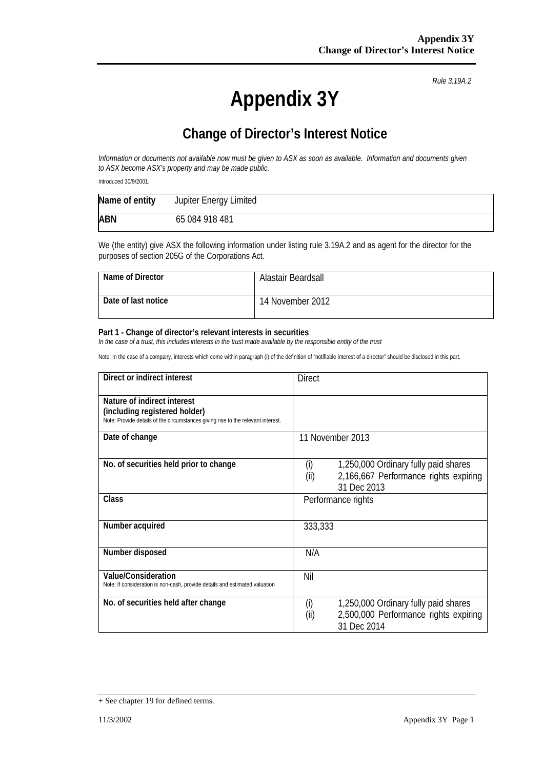*Rule 3.19A.2*

## **Change of Director's Interest Notice**

*Information or documents not available now must be given to ASX as soon as available. Information and documents given to ASX become ASX's property and may be made public.*

Introduced 30/9/2001.

| Name of entity | Jupiter Energy Limited |
|----------------|------------------------|
| <b>ABN</b>     | 65 084 918 481         |

We (the entity) give ASX the following information under listing rule 3.19A.2 and as agent for the director for the purposes of section 205G of the Corporations Act.

| Name of Director    | Alastair Beardsall |
|---------------------|--------------------|
| Date of last notice | 14 November 2012   |

#### **Part 1 - Change of director's relevant interests in securities**

*In the case of a trust, this includes interests in the trust made available by the responsible entity of the trust*

| Direct or indirect interest                                                      | <b>Direct</b>                                 |  |
|----------------------------------------------------------------------------------|-----------------------------------------------|--|
|                                                                                  |                                               |  |
| Nature of indirect interest                                                      |                                               |  |
| (including registered holder)                                                    |                                               |  |
| Note: Provide details of the circumstances giving rise to the relevant interest. |                                               |  |
| Date of change                                                                   | 11 November 2013                              |  |
|                                                                                  |                                               |  |
| No. of securities held prior to change                                           | 1,250,000 Ordinary fully paid shares<br>(i)   |  |
|                                                                                  |                                               |  |
|                                                                                  | (ii)<br>2,166,667 Performance rights expiring |  |
|                                                                                  | 31 Dec 2013                                   |  |
| Class                                                                            | Performance rights                            |  |
|                                                                                  |                                               |  |
| Number acquired                                                                  | 333,333                                       |  |
|                                                                                  |                                               |  |
|                                                                                  |                                               |  |
| Number disposed                                                                  | N/A                                           |  |
|                                                                                  |                                               |  |
| Value/Consideration                                                              | Nil                                           |  |
| Note: If consideration is non-cash, provide details and estimated valuation      |                                               |  |
| No. of securities held after change                                              |                                               |  |
|                                                                                  | (i)<br>1,250,000 Ordinary fully paid shares   |  |
|                                                                                  | (ii)<br>2,500,000 Performance rights expiring |  |
|                                                                                  | 31 Dec 2014                                   |  |

<sup>+</sup> See chapter 19 for defined terms.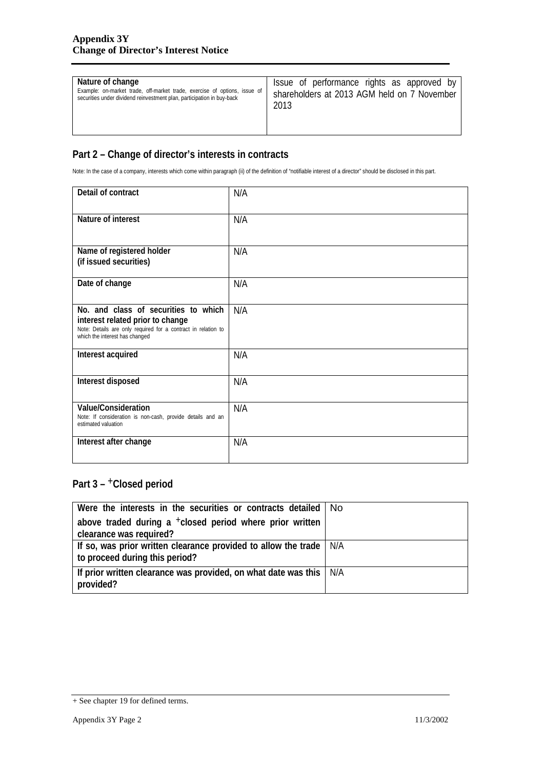| Nature of change                                                          | Issue of performance rights as approved by  |
|---------------------------------------------------------------------------|---------------------------------------------|
| Example: on-market trade, off-market trade, exercise of options, issue of | shareholders at 2013 AGM held on 7 November |
| securities under dividend reinvestment plan, participation in buy-back    | 2013                                        |

Note: In the case of a company, interests which come within paragraph (ii) of the definition of "notifiable interest of a director" should be disclosed in this part.

| Detail of contract                                                                                                                                                          | N/A |
|-----------------------------------------------------------------------------------------------------------------------------------------------------------------------------|-----|
| Nature of interest                                                                                                                                                          | N/A |
| Name of registered holder<br>(if issued securities)                                                                                                                         | N/A |
| Date of change                                                                                                                                                              | N/A |
| No. and class of securities to which<br>interest related prior to change<br>Note: Details are only required for a contract in relation to<br>which the interest has changed | N/A |
| Interest acquired                                                                                                                                                           | N/A |
| Interest disposed                                                                                                                                                           | N/A |
| Value/Consideration<br>Note: If consideration is non-cash, provide details and an<br>estimated valuation                                                                    | N/A |
| Interest after change                                                                                                                                                       | N/A |

| Were the interests in the securities or contracts detailed   No                                             |  |
|-------------------------------------------------------------------------------------------------------------|--|
| above traded during a $+$ closed period where prior written<br>clearance was required?                      |  |
|                                                                                                             |  |
| If so, was prior written clearance provided to allow the trade $\mid N/A$<br>to proceed during this period? |  |
| If prior written clearance was provided, on what date was this   N/A<br>provided?                           |  |

<sup>+</sup> See chapter 19 for defined terms.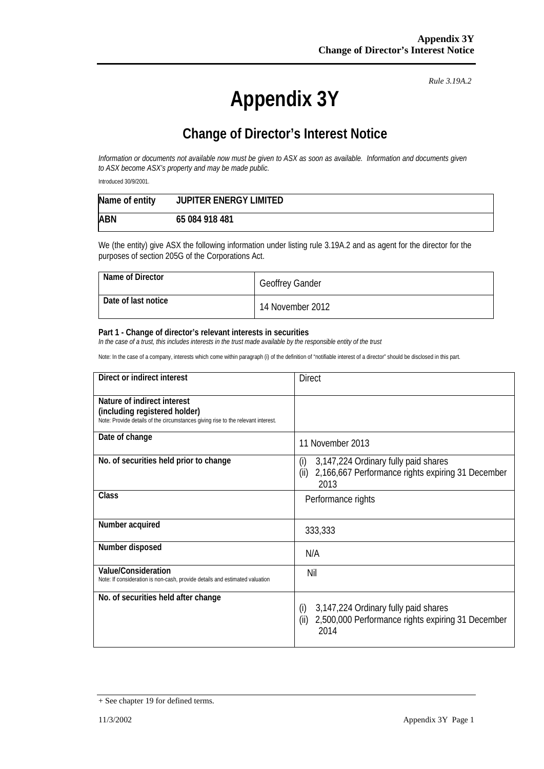*Rule 3.19A.2*

## **Change of Director's Interest Notice**

*Information or documents not available now must be given to ASX as soon as available. Information and documents given to ASX become ASX's property and may be made public.*

Introduced 30/9/2001.

| Name of entity | <b>JUPITER ENERGY LIMITED</b> |
|----------------|-------------------------------|
| <b>ABN</b>     | 65 084 918 481                |

We (the entity) give ASX the following information under listing rule 3.19A.2 and as agent for the director for the purposes of section 205G of the Corporations Act.

| Name of Director    | <b>Geoffrey Gander</b> |
|---------------------|------------------------|
| Date of last notice | 14 November 2012       |

#### **Part 1 - Change of director's relevant interests in securities**

*In the case of a trust, this includes interests in the trust made available by the responsible entity of the trust*

| Direct or indirect interest                                                                                                                      | <b>Direct</b>                                                                                                    |  |
|--------------------------------------------------------------------------------------------------------------------------------------------------|------------------------------------------------------------------------------------------------------------------|--|
| Nature of indirect interest<br>(including registered holder)<br>Note: Provide details of the circumstances giving rise to the relevant interest. |                                                                                                                  |  |
| Date of change                                                                                                                                   | 11 November 2013                                                                                                 |  |
| No. of securities held prior to change                                                                                                           | (i)<br>3,147,224 Ordinary fully paid shares<br>2,166,667 Performance rights expiring 31 December<br>(ii)<br>2013 |  |
| Class                                                                                                                                            | Performance rights                                                                                               |  |
| Number acquired                                                                                                                                  | 333,333                                                                                                          |  |
| Number disposed                                                                                                                                  | N/A                                                                                                              |  |
| Value/Consideration<br>Note: If consideration is non-cash, provide details and estimated valuation                                               | Nil                                                                                                              |  |
| No. of securities held after change                                                                                                              | 3,147,224 Ordinary fully paid shares<br>(i)<br>2,500,000 Performance rights expiring 31 December<br>(ii)<br>2014 |  |

<sup>+</sup> See chapter 19 for defined terms.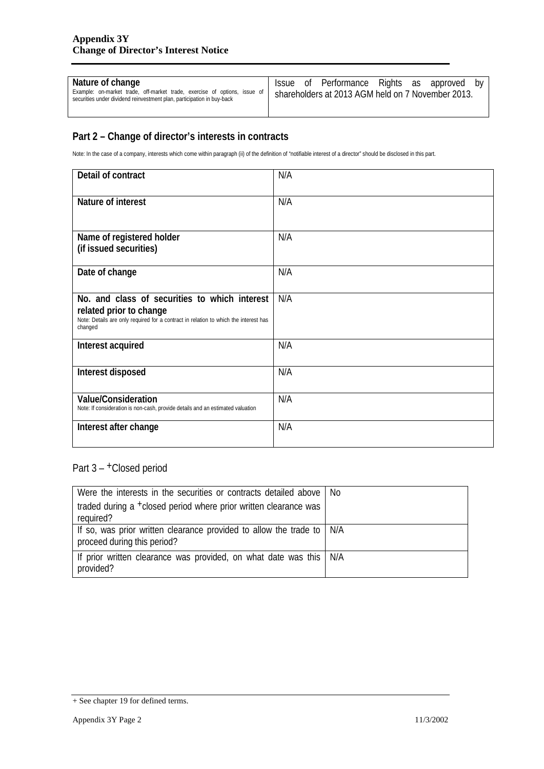| Nature of change                                                                                                                                    |                                                   |  | Issue of Performance Rights as approved |  |  | bv |
|-----------------------------------------------------------------------------------------------------------------------------------------------------|---------------------------------------------------|--|-----------------------------------------|--|--|----|
| Example: on-market trade, off-market trade, exercise of options, issue of<br>securities under dividend reinvestment plan, participation in buy-back | shareholders at 2013 AGM held on 7 November 2013. |  |                                         |  |  |    |
|                                                                                                                                                     |                                                   |  |                                         |  |  |    |

Note: In the case of a company, interests which come within paragraph (ii) of the definition of "notifiable interest of a director" should be disclosed in this part.

| Detail of contract                                                                                                                                                          | N/A |
|-----------------------------------------------------------------------------------------------------------------------------------------------------------------------------|-----|
| Nature of interest                                                                                                                                                          | N/A |
| Name of registered holder<br>(if issued securities)                                                                                                                         | N/A |
| Date of change                                                                                                                                                              | N/A |
| No. and class of securities to which interest<br>related prior to change<br>Note: Details are only required for a contract in relation to which the interest has<br>changed | N/A |
| Interest acquired                                                                                                                                                           | N/A |
| Interest disposed                                                                                                                                                           | N/A |
| Value/Consideration<br>Note: If consideration is non-cash, provide details and an estimated valuation                                                                       | N/A |
| Interest after change                                                                                                                                                       | N/A |

| Were the interests in the securities or contracts detailed above                                             | No. |
|--------------------------------------------------------------------------------------------------------------|-----|
| traded during a <sup>+</sup> closed period where prior written clearance was                                 |     |
| required?                                                                                                    |     |
| If so, was prior written clearance provided to allow the trade to $\vert$ N/A<br>proceed during this period? |     |
| If prior written clearance was provided, on what date was this<br>provided?                                  | N/A |

<sup>+</sup> See chapter 19 for defined terms.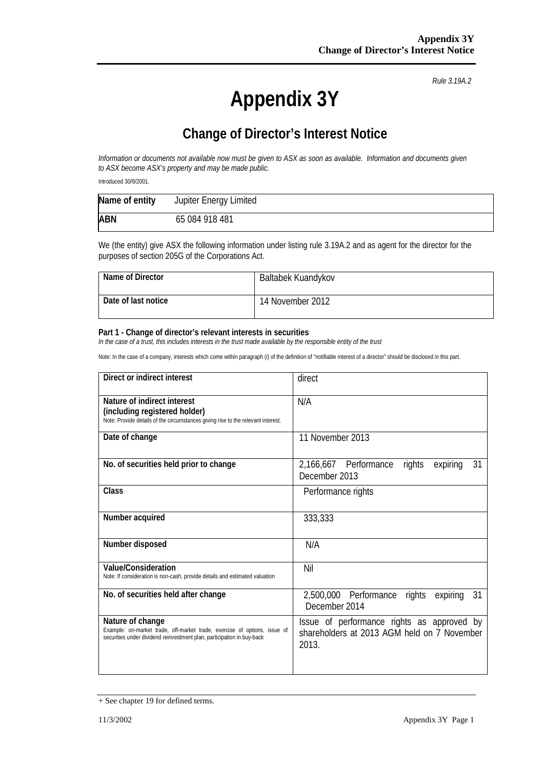*Rule 3.19A.2*

## **Change of Director's Interest Notice**

*Information or documents not available now must be given to ASX as soon as available. Information and documents given to ASX become ASX's property and may be made public.*

Introduced 30/9/2001.

| Name of entity | Jupiter Energy Limited |
|----------------|------------------------|
| <b>ABN</b>     | 65 084 918 481         |

We (the entity) give ASX the following information under listing rule 3.19A.2 and as agent for the director for the purposes of section 205G of the Corporations Act.

| Name of Director    | Baltabek Kuandykov |
|---------------------|--------------------|
| Date of last notice | 14 November 2012   |

#### **Part 1 - Change of director's relevant interests in securities**

*In the case of a trust, this includes interests in the trust made available by the responsible entity of the trust*

| Direct or indirect interest                                                                                                                                             | direct                                                                                             |  |  |
|-------------------------------------------------------------------------------------------------------------------------------------------------------------------------|----------------------------------------------------------------------------------------------------|--|--|
| Nature of indirect interest<br>(including registered holder)<br>Note: Provide details of the circumstances giving rise to the relevant interest.                        | N/A                                                                                                |  |  |
| Date of change                                                                                                                                                          | 11 November 2013                                                                                   |  |  |
| No. of securities held prior to change                                                                                                                                  | 2,166,667 Performance<br>rights<br>31<br>expiring<br>December 2013                                 |  |  |
| Class                                                                                                                                                                   | Performance rights                                                                                 |  |  |
| Number acquired                                                                                                                                                         | 333,333                                                                                            |  |  |
| Number disposed                                                                                                                                                         | N/A                                                                                                |  |  |
| Value/Consideration<br>Note: If consideration is non-cash, provide details and estimated valuation                                                                      | Nil                                                                                                |  |  |
| No. of securities held after change                                                                                                                                     | 2,500,000 Performance<br>rights<br>expiring<br>31<br>December 2014                                 |  |  |
| Nature of change<br>Example: on-market trade, off-market trade, exercise of options, issue of<br>securities under dividend reinvestment plan, participation in buy-back | Issue of performance rights as approved by<br>shareholders at 2013 AGM held on 7 November<br>2013. |  |  |

<sup>+</sup> See chapter 19 for defined terms.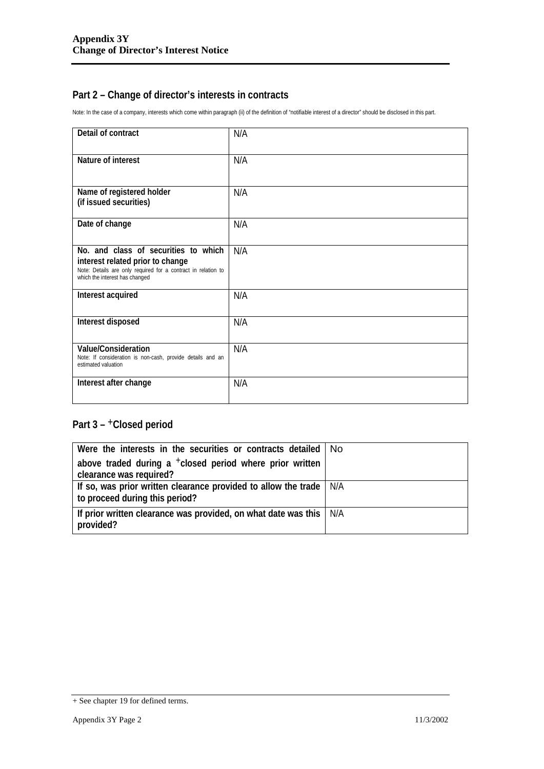Note: In the case of a company, interests which come within paragraph (ii) of the definition of "notifiable interest of a director" should be disclosed in this part.

| Detail of contract                                                                                                                                                          | N/A |
|-----------------------------------------------------------------------------------------------------------------------------------------------------------------------------|-----|
| Nature of interest                                                                                                                                                          | N/A |
| Name of registered holder<br>(if issued securities)                                                                                                                         | N/A |
| Date of change                                                                                                                                                              | N/A |
| No. and class of securities to which<br>interest related prior to change<br>Note: Details are only required for a contract in relation to<br>which the interest has changed | N/A |
| Interest acquired                                                                                                                                                           | N/A |
| Interest disposed                                                                                                                                                           | N/A |
| Value/Consideration<br>Note: If consideration is non-cash, provide details and an<br>estimated valuation                                                                    | N/A |
| Interest after change                                                                                                                                                       | N/A |

| Were the interests in the securities or contracts detailed   No                   |  |
|-----------------------------------------------------------------------------------|--|
| above traded during a $+$ closed period where prior written                       |  |
| clearance was required?                                                           |  |
| If so, was prior written clearance provided to allow the trade   N/A              |  |
| to proceed during this period?                                                    |  |
| If prior written clearance was provided, on what date was this   N/A<br>provided? |  |
|                                                                                   |  |

<sup>+</sup> See chapter 19 for defined terms.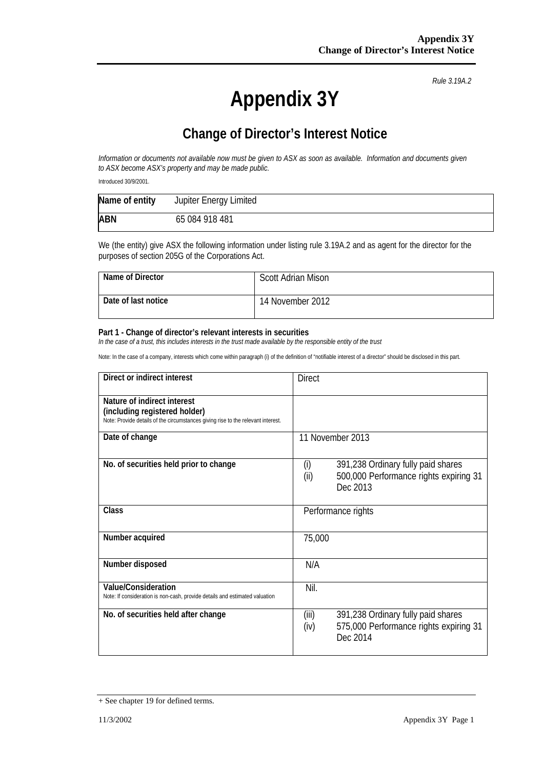*Rule 3.19A.2*

## **Change of Director's Interest Notice**

*Information or documents not available now must be given to ASX as soon as available. Information and documents given to ASX become ASX's property and may be made public.*

Introduced 30/9/2001.

| Name of entity | Jupiter Energy Limited |
|----------------|------------------------|
| <b>ABN</b>     | 65 084 918 481         |

We (the entity) give ASX the following information under listing rule 3.19A.2 and as agent for the director for the purposes of section 205G of the Corporations Act.

| Name of Director    | <b>Scott Adrian Mison</b> |
|---------------------|---------------------------|
| Date of last notice | 14 November 2012          |

#### **Part 1 - Change of director's relevant interests in securities**

*In the case of a trust, this includes interests in the trust made available by the responsible entity of the trust*

| Direct or indirect interest                                                                                                                      | <b>Direct</b>                                                                                             |
|--------------------------------------------------------------------------------------------------------------------------------------------------|-----------------------------------------------------------------------------------------------------------|
| Nature of indirect interest<br>(including registered holder)<br>Note: Provide details of the circumstances giving rise to the relevant interest. |                                                                                                           |
| Date of change                                                                                                                                   | 11 November 2013                                                                                          |
| No. of securities held prior to change                                                                                                           | (i)<br>391,238 Ordinary fully paid shares<br>500,000 Performance rights expiring 31<br>(ii)<br>Dec 2013   |
| Class                                                                                                                                            | Performance rights                                                                                        |
| Number acquired                                                                                                                                  | 75,000                                                                                                    |
| Number disposed                                                                                                                                  | N/A                                                                                                       |
| <b>Value/Consideration</b><br>Note: If consideration is non-cash, provide details and estimated valuation                                        | Nil.                                                                                                      |
| No. of securities held after change                                                                                                              | 391,238 Ordinary fully paid shares<br>(iii)<br>575,000 Performance rights expiring 31<br>(iv)<br>Dec 2014 |

<sup>+</sup> See chapter 19 for defined terms.